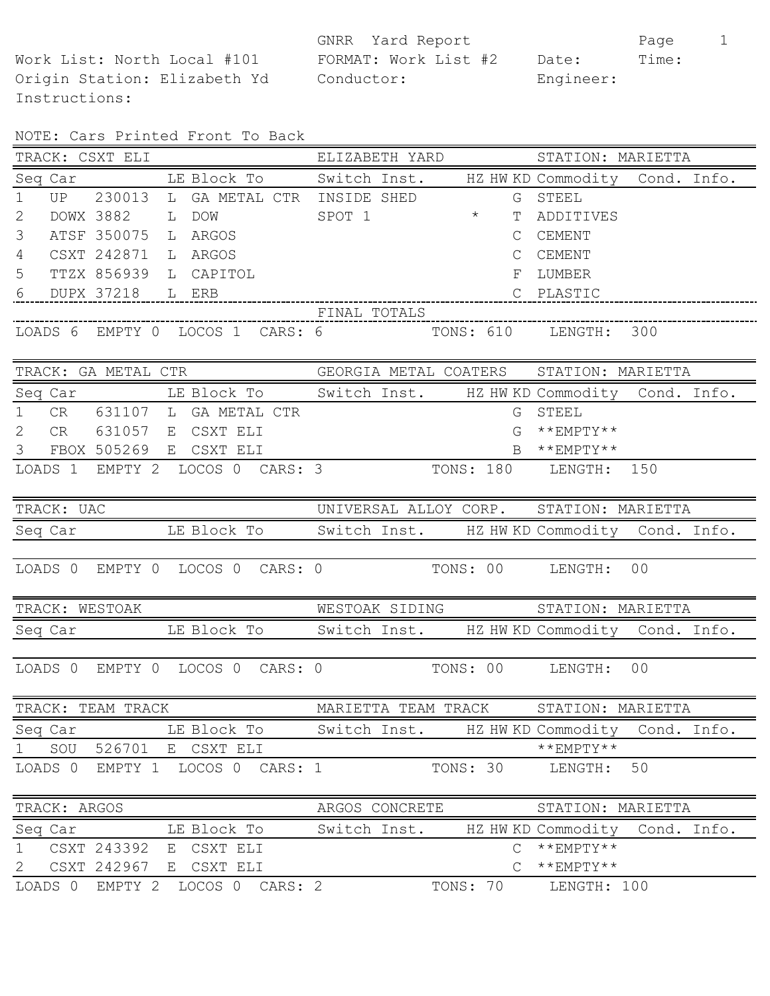Instructions:

GNRR Yard Report Page 1 Work List: North Local #101 FORMAT: Work List #2 Date: Time: Origin Station: Elizabeth Yd Conductor: Engineer:

| NOTE: Cars Printed Front To Back |  |  |  |  |  |  |
|----------------------------------|--|--|--|--|--|--|
|----------------------------------|--|--|--|--|--|--|

| TRACK: CSXT ELI ELIZABETH YARD STATION: MARIETTA                 |                                         |                                     |
|------------------------------------------------------------------|-----------------------------------------|-------------------------------------|
| Seq Car LE Block To Switch Inst. HZ HW KD Commodity Cond. Info.  |                                         |                                     |
| UP 230013 L GA METAL CTR INSIDE SHED<br>$\mathbf 1$              |                                         | G STEEL                             |
| $\mathbf{2}$                                                     |                                         | T ADDITIVES                         |
| ATSF 350075 L ARGOS<br>3                                         | $\mathsf{C}$                            | CEMENT                              |
| $\overline{4}$<br>CSXT 242871 L ARGOS                            |                                         | C CEMENT                            |
| 5<br>TTZX 856939 L CAPITOL                                       |                                         | F LUMBER                            |
|                                                                  |                                         |                                     |
|                                                                  |                                         |                                     |
| LOADS 6 EMPTY 0 LOCOS 1 CARS: 6 TONS: 610 LENGTH: 300            |                                         |                                     |
| TRACK: GA METAL CTR GEORGIA METAL COATERS STATION: MARIETTA      |                                         |                                     |
| Seq Car The Block To Switch Inst. HZ HW KD Commodity Cond. Info. |                                         |                                     |
| 1 CR 631107 L GA METAL CTR                                       |                                         | G STEEL                             |
| 2 CR 631057 E CSXT ELI                                           | G                                       | $***$ EMPTY**                       |
| 3 FBOX 505269 E CSXT ELI                                         | $B$ ** $EMPTY$ **                       |                                     |
| LOADS 1 EMPTY 2 LOCOS 0 CARS: 3 TONS: 180 LENGTH: 150            |                                         |                                     |
| TRACK: UAC                                                       | UNIVERSAL ALLOY CORP. STATION: MARIETTA |                                     |
| Seq Car LE Block To Switch Inst. HZ HW KD Commodity Cond. Info.  |                                         |                                     |
| LOADS 0 EMPTY 0 LOCOS 0 CARS: 0 TONS: 00 LENGTH: 00              |                                         |                                     |
| TRACK: WESTOAK NESTOAK SIDING STATION: MARIETTA                  |                                         |                                     |
| Seq Car LE Block To Switch Inst. HZ HW KD Commodity Cond. Info.  |                                         |                                     |
|                                                                  |                                         |                                     |
| LOADS 0 EMPTY 0 LOCOS 0 CARS: 0 TONS: 00 LENGTH: 00              |                                         |                                     |
| TRACK: TEAM TRACK                                                | MARIETTA TEAM TRACK                     | STATION: MARIETTA                   |
| LE Block To<br>Seq Car                                           | Switch Inst.                            | HZ HW KD Commodity Cond. Info.      |
| SOU<br>526701<br>E CSXT ELI<br>$\mathbf 1$                       |                                         | $***$ EMPTY**                       |
| LOADS 0<br>EMPTY 1<br>LOCOS 0<br>CARS: 1                         | TONS: 30                                | 50<br>LENGTH:                       |
| TRACK: ARGOS                                                     | ARGOS CONCRETE                          | STATION: MARIETTA                   |
| Seq Car<br>LE Block To                                           | Switch Inst.                            | HZ HW KD Commodity Cond. Info.      |
| $\mathbf 1$<br>CSXT 243392<br>CSXT ELI<br>E                      | $\mathsf{C}$                            | $***$ EMPTY**                       |
| CSXT 242967<br>E CSXT ELI<br>$\mathbf{2}$                        | $\mathcal{C}$                           | $\star\star_{\rm EMPTY} \star\star$ |
| LOADS 0<br>EMPTY 2<br>LOCOS 0<br>CARS: 2                         | TONS: 70                                | LENGTH: 100                         |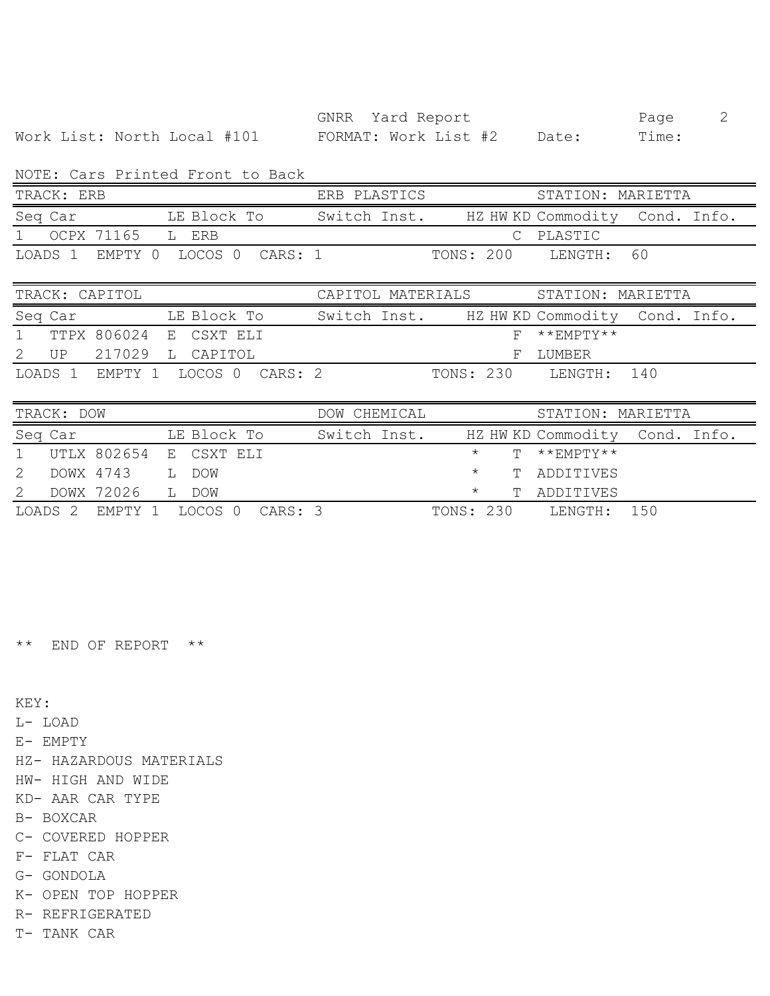GNRR Yard Report Page 2 Work List: North Local #101 FORMAT: Work List #2 Date: Time:

NOTE: Cars Printed Front to Back

|              | nvill vald littleva livne ov bavn |              |                                |  |
|--------------|-----------------------------------|--------------|--------------------------------|--|
| TRACK: ERB   |                                   | ERB PLASTICS | STATION: MARIETTA              |  |
| Seq Car      | LE Block To                       | Switch Inst. | HZ HW KD Commodity Cond. Info. |  |
| 1 OCPX 71165 | L ERB                             |              | C PLASTIC                      |  |
|              | LOADS 1 EMPTY 0 LOCOS 0 CARS: 1   |              | TONS: 200<br>T.ENGTH: 60       |  |

|         | TRACK: CAPITOL                  |  | CAPITOL MATERIALS |              |  | STATION: MARIETTA |                                |  |  |
|---------|---------------------------------|--|-------------------|--------------|--|-------------------|--------------------------------|--|--|
| Seq Car |                                 |  | LE Block To       | Switch Inst. |  |                   | HZ HW KD Commodity Cond. Info. |  |  |
|         | 1 TTPX 806024 E CSXT ELI        |  |                   |              |  |                   | $F$ **FMPTY**                  |  |  |
|         | 2 UP 217029 L CAPITOL           |  |                   |              |  |                   | F LUMBER                       |  |  |
|         | LOADS 1 EMPTY 1 LOCOS 0 CARS: 2 |  |                   |              |  | TONS: 230         | T.ENGTH: 140                   |  |  |

| TRACK: DOW |         |                                 |  |             |  | DOW CHEMICAL<br>STATION: MARIETTA |              |           |  |  |                                |  |
|------------|---------|---------------------------------|--|-------------|--|-----------------------------------|--------------|-----------|--|--|--------------------------------|--|
|            | Seq Car |                                 |  | LE Block To |  |                                   | Switch Inst. |           |  |  | HZ HW KD Commodity Cond. Info. |  |
|            |         | 1 UTLX 802654 E CSXT ELI        |  |             |  |                                   |              | $\star$   |  |  | $T$ **FMPTY**                  |  |
|            |         | DOWX 4743 L DOW                 |  |             |  |                                   |              | $\star$   |  |  | T ADDITIVES                    |  |
|            |         | DOWX 72026 L DOW                |  |             |  |                                   |              | $^\star$  |  |  | T ADDITIVES                    |  |
|            |         | LOADS 2 EMPTY 1 LOCOS 0 CARS: 3 |  |             |  |                                   |              | TONS: 230 |  |  | T.ENGTH: 150                   |  |

\*\* END OF REPORT \*\*

KEY:

L- LOAD

E- EMPTY

HZ- HAZARDOUS MATERIALS

HW- HIGH AND WIDE

KD- AAR CAR TYPE

B- BOXCAR

C- COVERED HOPPER

F- FLAT CAR

G- GONDOLA

K- OPEN TOP HOPPER

R- REFRIGERATED

T- TANK CAR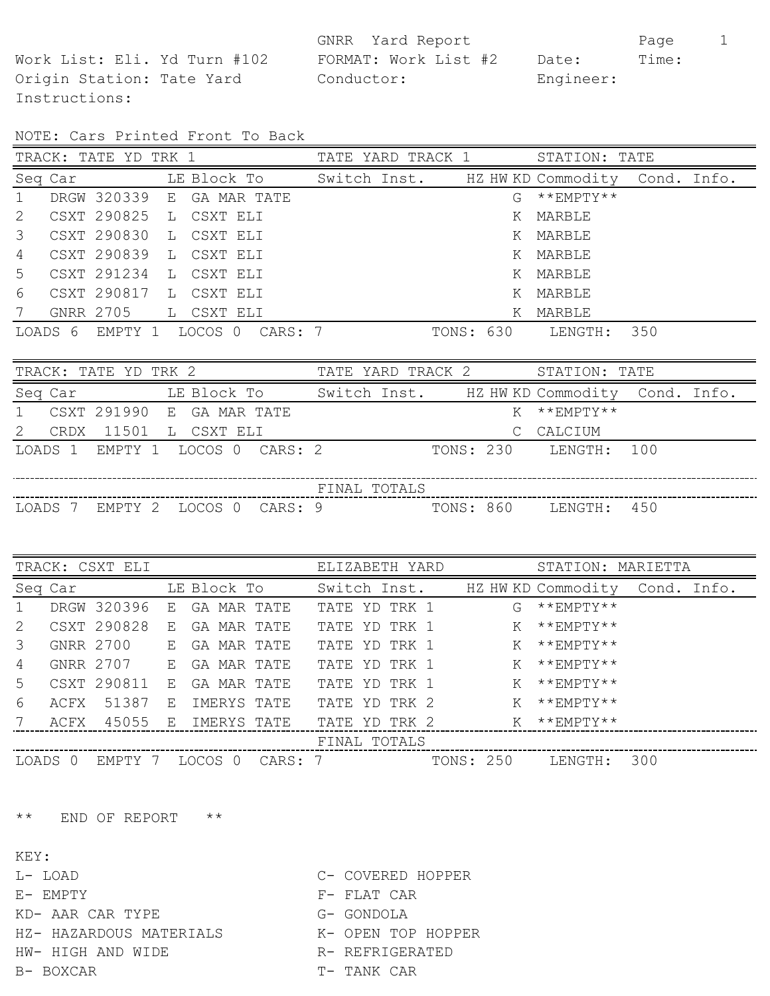Instructions:

GNRR Yard Report Page 1 Work List: Eli. Yd Turn #102 FORMAT: Work List #2 Date: Time: Origin Station: Tate Yard Conductor: Engineer:

NOTE: Cars Printed Front To Back

|                | TRACK: TATE YD TRK 1 |                           |  |  |                                 | TATE YARD TRACK 1 |           |    | STATION: TATE                                           |     |  |
|----------------|----------------------|---------------------------|--|--|---------------------------------|-------------------|-----------|----|---------------------------------------------------------|-----|--|
|                | Seq Car              |                           |  |  |                                 |                   |           |    | LE Block To Switch Inst. HZ HW KD Commodity Cond. Info. |     |  |
| $\overline{1}$ |                      | DRGW 320339 E GA MAR TATE |  |  |                                 |                   |           | G. | $**$ FMPTY $**$                                         |     |  |
| 2              |                      | CSXT 290825 L CSXT ELI    |  |  |                                 |                   |           | K  | MARBLE                                                  |     |  |
| 3              |                      | CSXT 290830 L CSXT ELI    |  |  |                                 |                   |           |    | K MARBLE                                                |     |  |
| 4              |                      | CSXT 290839 L CSXT ELI    |  |  |                                 |                   |           |    | K MARBLE                                                |     |  |
| .5             |                      | CSXT 291234 L CSXT ELI    |  |  |                                 |                   |           |    | K MARBLE                                                |     |  |
| 6              |                      | CSXT 290817 L CSXT ELI    |  |  |                                 |                   |           | K  | MARBLE                                                  |     |  |
| 7              |                      | GNRR 2705 L CSXT ELI      |  |  |                                 |                   |           | Κ  | MARBLE                                                  |     |  |
|                |                      |                           |  |  | LOADS 6 EMPTY 1 LOCOS 0 CARS: 7 |                   | TONS: 630 |    | LENGTH:                                                 | 350 |  |

| TRACK: TATE YD TRK 2        |                                 | TATE YARD TRACK 2                           | STATION: TATE         |     |
|-----------------------------|---------------------------------|---------------------------------------------|-----------------------|-----|
| Seq Car                     | LE Block To                     | Switch Inst. HZ HW KD Commodity Cond. Info. |                       |     |
| 1 CSXT 291990 E GA MAR TATE |                                 |                                             | $K$ **FMPTY**         |     |
| CRDX 11501 L CSXT ELI       |                                 |                                             | C CALCIUM             |     |
|                             | LOADS 1 EMPTY 1 LOCOS 0 CARS: 2 |                                             | TONS: 230 LENGTH: 100 |     |
|                             |                                 |                                             |                       |     |
|                             |                                 | FINAL TOTALS                                |                       |     |
| LOADS 7                     | EMPTY 2 LOCOS 0<br>CARS: 9      | TONS: 860                                   | LENGTH:               | 450 |

|                |         | TRACK: CSXT ELI |    |                         | ELIZABETH YARD | STATION: MARIETTA              |
|----------------|---------|-----------------|----|-------------------------|----------------|--------------------------------|
|                | Seq Car |                 |    | LE Block To             | Switch Inst.   | HZ HW KD Commodity Cond. Info. |
| $\overline{1}$ |         | DRGW 320396     |    | E GA MAR TATE           | TATE YD TRK 1  | $G$ ** EMPTY**                 |
| 2              |         | CSXT 290828     | E. | GA MAR TATE             | TATE YD TRK 1  | $***$ EMPTY**<br>K             |
| $\mathcal{E}$  |         |                 |    | GNRR 2700 E GA MAR TATE | TATE YD TRK 1  | $K$ ** $EMPTY**$               |
| 4              |         | GNRR 2707 E     |    | GA MAR TATE             | TATE YD TRK 1  | $K$ ** $EMPTY**$               |
| .5             |         | CSXT 290811 E   |    | GA MAR TATE             | TATE YD TRK 1  | $K$ ** EMPTY**                 |
| 6              |         | ACFX 51387      | E  | IMERYS TATE             | TATE YD TRK 2  | **EMPTY**<br>K                 |
|                | ACFX    | 45055           | E  | IMERYS TATE             | TATE YD TRK 2  | $K$ ** $EM$ PTY**              |
|                |         |                 |    |                         | FINAL TOTALS   |                                |
|                |         |                 |    |                         |                |                                |

LOADS 0 EMPTY 7 LOCOS 0 CARS: 7 TONS: 250 LENGTH: 300

\*\* END OF REPORT \*\*

- KEY:
- L- LOAD C- COVERED HOPPER
- E- EMPTY F- FLAT CAR
- KD- AAR CAR TYPE G- GONDOLA
- HZ- HAZARDOUS MATERIALS K- OPEN TOP HOPPER
- HW- HIGH AND WIDE THE REFRIGERATED
- 
- B- BOXCAR T- TANK CAR